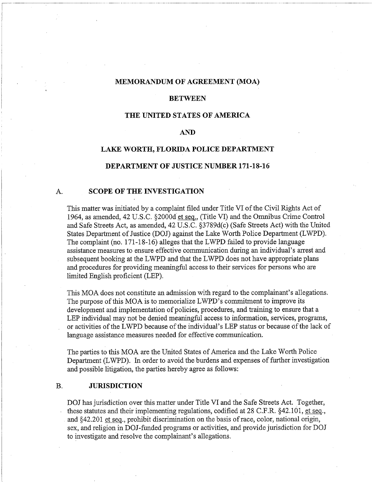#### **MEMORANDUM OF AGREEMENT (MOA)**

#### **BETWEEN**

#### **THE UNITED STATES OF AMERICA**

# **AND**

# **LAKE WORTH, FLORIDA POLICE DEPARTMENT**

#### **DEPARTMENT OF JUSTICE NUMBER 171-18-16**

# A. **SCOPE OF THE INVESTIGATION**

This matter was initiated by a complaint filed under Title VI of the Civil Rights Act of 1964, as amended, 42 U.S.C. §2000d'et seq., (Title VI) and the Omnibus Crime Control and Safe Streets Act, as amended, 42 U.S.C. §3789d(c) (Safe Streets Act) with the United States Department of Justice (DOJ) against the Lake Worth Police Department (LWPD). The complaint (no. 171-18-16) alleges that the LWPD failed to provide language assistance measures to ensure effective communication during an individual's arrest and subsequent booking at the LWPD and that the LWPD does not have appropriate plans and procedures for providing meaningful access to their services for persons who are limited English proficient (LEP).

This MOA does not constitute an admission with regard to the complainant's allegations. The purpose of this MOA is to memorialize LWPD's commitment to improve its development and implementation of policies, procedures, and training to ensure that a LEP individual may not be denied meaningful access to information, services, programs, or activities of the LWPD because of the individual's LEP status or because of the lack of language assistance measures needed for effective communication.

The parties to this MOA are the United States of America and the Lake Worth Police Department (LWPD). In order to avoid the burdens and expenses of further investigation and possible litigation, the parties hereby agree as follows:

# **B. JURISDICTION**

DOJ has jurisdiction over this matter under Title VI and the Safe Streets Act. Together, these statutes and their implementing regulations, codified at 28 C.F.R. \$42.101, et seq., and 542.201 et seq., prohibit discrimination on the basis of race, color, national origin, sex, and religion in DOJ-funded programs or activities, and provide jurisdiction for DOJ to investigate and resolve the complainant's allegations.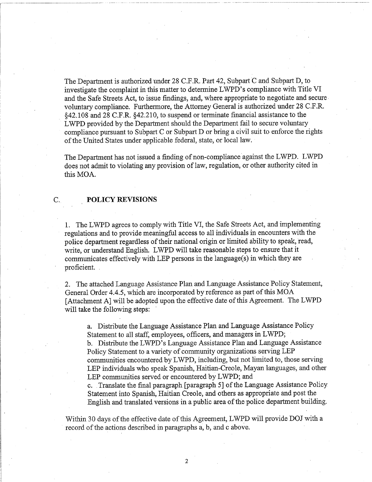The Department is authorized under 28 C.F.R. Part 42, Subpart C and Subpart D, to investigate the complaint in this matter to determine LWPD's compliance with Title VI and the Safe Streets Act, to issue findings, and, where appropriate to negotiate and secure voluntary compliance. Furthermore, the Attorney General is authorized under 28 C.F.R. 842.108 and 28 C.F.R. 542.210, to suspend or terminate financial assistance to the LWPD provided by the Department should the Department fail to secure voluntary compliance pursuant to Subpart C or Subpart D or bring a civil suit to enforce the rights of the United States under applicable federal, state, or local law.

The Department has not issued a finding of non-compliance against the LWPD. LWPD does not admit to violating any provision of law, regulation, or other authority cited in this MOA.

# C. **POLICY REVISIONS**

1. The LWPD agrees to comply with Title VI, the Safe Streets Act, and implementing regulations and to provide meaningful access to all individuals in encounters with the police department regardless of their national origin or limited ability to speak, read, write, or understand English. LWPD will take reasonable steps to ensure that it communicates effectively with LEP persons in the language(s) in which they are proficient.

2. The attached Language Assistance Plan and Language Assistance Policy Statement, General Order 4.4.5, which are incorporated by reference as part of this MOA [Attachment A] will be adopted upon the effective date of this Agreement. The LWPD will take the following steps:

a. Distribute the Language Assistance Plan and Language Assistance Policy Statement to all staff, employees, officers, and managers in LWPD;

b. Distribute the LWPD's Language Assistance Plan and Language Assistance Policy Statement to a variety of community organizations serving LEP communities encountered by LWPD, including, but not limited to, those serving LEP individuals who speak Spanish, Haitian-Creole, Mayan languages, and other LEP communities served or encountered by LWPD; and

c. Translate the final paragraph [paragraph 51 of the Language Assistance Policy Statement into Spanish, Haitian Creole, and others as appropriate and post the English and translated versions in a public area of the police department building.

Within 30 days of the effective date of this Agreement, LWPD will provide DOJ with a record of the actions described in paragraphs a, b, and c above.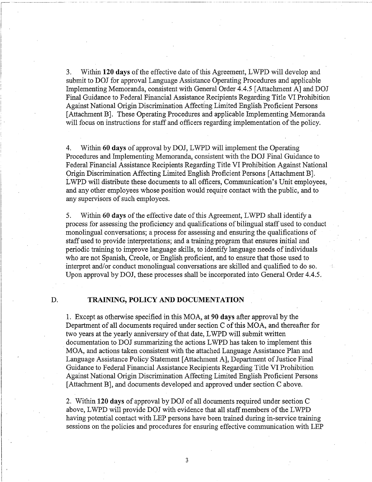3. Withn **120 days** of the effective date of this Agreement, LWPD will develop and submit to DOJ for approval Language Assistance Operating Procedures and applicable Implementing Memoranda, consistent with General Order 4.4.5 [Attachment A] and DOJ Final Guidance to Federal Financial Assistance Recipients Regarding Title VI Prohibition Against National Origin Discrimination Affecting Limited English Proficient Persons [Attachment B]. These Operating Procedures and applicable Implementing Memoranda will focus on instructions for staff and officers regarding implementation of the policy.

4. Within **60 days** of approval by DOJ, LWPD will implement the Operating Procedures and Implementing Memoranda, consistent with the DOJ Final Guidance to Federal Financial Assistance Recipients Regarding Title VI Prohibition Against National Origin Discrimination Affecting Limited English Proficient Persons [Attachment B] . LWPD will distribute these documents to all officers, Communication's Unit employees, and any other employees whose position would require contact with the public, and to any supervisors of such employees.

**5.** Withn **60 days** of the effective date of this Agreement, LWPD shall identify a process for assessing the proficiency and qualifications of bilingual staff used to conduct monolingual conversations; a process for assessing and ensuring the qualifications of staff used to provide interpretations; and a training program that ensures initial and periodic training to improve language skills, to identify language needs of individuals who are not Spanish, Creole, or English proficient, and to ensure that those used to interpret and/or conduct monolingual conversations are skilled and qualified to do so. Upon approval by DOJ, these processes shall be incorporated into General Order 4.4.5.

# D. **TRAINING, POLICY** AND **DOCUMENTATION**

1. Except as otherwise specified in this MOA, at **90 days** after approval by the Department of all documents required under section C of this MOA, and thereafter for two years at the yearly anniversary of that date, LWPD will submit written documentation to DOJ summarizing the actions LWPD has taken to implement ths MOA, and actions taken consistent with the attached Language Assistance Plan and Language Assistance Policy Statement [Attachment A], Department of Justice Final Guidance to Federal Financial Assistance Recipients Regarding Title VI Prohibition Against National Origin Discrimination Affecting Limited English Proficient Persons [Attachment B], and documents developed and approved under section C above.

2. Within **120 days** of approval by DOJ of all documents required under section C above, LWPD will provide DOJ with evidence that all staff members of the LWPD having potential contact with LEP persons have been trained during in-service training sessions on the policies and procedures for ensuring effective communication with LEP

 $\overline{3}$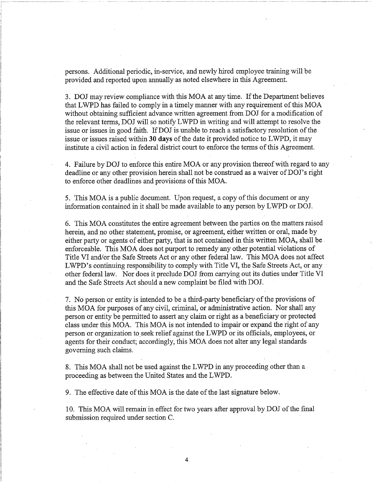persons. Additional periodic, in-service, and newly hred employee training will be provided and reported upon annually as noted elsewhere in this Agreement.

3. DOJ may review compliance with this MOA at any time. If the Department believes that LWPD has failed to comply in a timely manner with any requirement of this MOA without obtaining sufficient advance written agreement from DOJ for a modification of the relevant terms, DOJ will so notify LWPD in writing and will attempt to resolve the issue or issues in good faith. If DOJ is unable to reach a satisfactory resolution of the issue or issues raised within **30 days** of the date it provided notice to LWPD, it may institute a civil action in federal district court to enforce the terms of this Agreement.

4. Failure by DOJ to enforce this entire MOA or any provision thereof with regard to any deadline or any other provision herein shall not be construed as a waiver of DOJ's right to enforce other deadlines and provisions of this MOA.

5. This MOA is a public document. Upon request, a copy of this document or any information contained in it shall be made available to any person by LWPD or DOJ.

6. This MOA constitutes the entire agreement between the parties on the matters raised herein, and no other statement, promise, or agreement, either written or oral, made by either party or agents of either party, that is not contained in this written MOA, shall be enforceable. This MOA does not purport to remedy any other potential violations of Title VI and/or the Safe Streets Act or any other federal law. This MOA does not affect LWPD's continuing responsibility to comply with Title VI, the Safe Streets Act, or any other federal law. Nor does it preclude DOJ from carrying out its duties under Title VI and the Safe Streets Act should a new complaint be filed with DOJ.

7. No person or entity is intended to be a third-party beneficiary of the provisions of this MOA for purposes of any civil, criminal, or administrative action. Nor shall any person or entity be permitted to assert any claim or right as a beneficiary or protected class under this MOA. This MOA is not intended to impair or expand the right of any person or organization to seek relief against the LWD or its officials, employees, or agents for their conduct; accordingly, this MOA does not alter any legal standards governing such claims.

8. This MOA shall not be used against the LWPD in any proceeding other than a proceeding as between the United, States and the LWPD.

9. The effective date of this MOA is the date of the last signature below.

10. This MOA will remain in effect for two years after approval by DOJ of the final submission required under section C.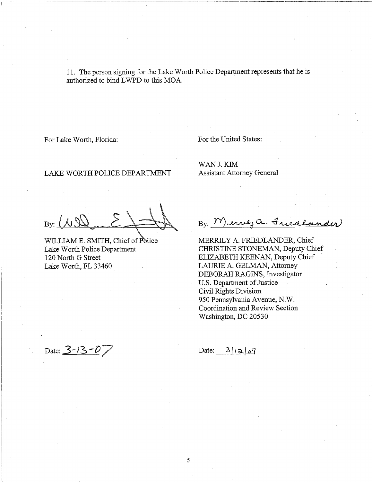11. The person signing for the Lake Worth Police Department represents that he is authorized to bind LWPD to this MOA.

,

For Lake Worth, Florida: For the United States:

LAKE WORTH POLICE DEPARTMENT Assistant Attorney General

WAN J..KIM

By:  $M$ 

Lake Worth, FL 33460 LAURIE A. GELMAN, Attorney

By: Merrey a. Friedlander)

WILLIAM E. SMITH, Chief of Police MERRILY A. FRIEDLANDER, Chief<br>
Lake Worth Police Department CHRISTINE STONEMAN, Deputy Ch CHRISTINE STONEMAN, Deputy Chief 120 North G Street ELIZABETH KEENAN, Deputy Chief DEBORAH RAGINS, Investigator U.S. Department of Justice Civil Rights Division 950 Pennsylvania Avenue, N. W. Coordination and Review Section Washington, DC 20530

Date: **3-**13 **-0**7 Date: 3/ra!07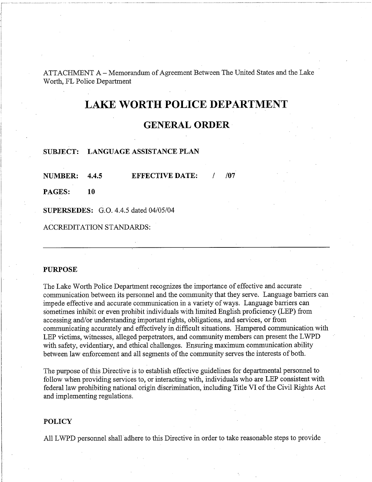ATTACHMENT A -Memorandum of Agreement Between The United States and the Lake Worth, FL Police Department

# **LAKE WORTH POLICE DEPARTMENT**

# **GENERAL ORDER**

#### **SUBJECT: LANGUAGE ASSISTANCE PLAN**

**NUMBER: 4.4.5 EFFECTIVE DATE:**  $/ 1/07$ 

**PAGES: 10** 

**SUPERSEDES:** G.O. 4.4.5 dated 04/05/04

ACCREDITATION STANDARDS:

#### **PURPOSE**

The Lake Worth Police Department recognizes the importance of effective and accurate communication between its personnel and the community that they serve. Language barriers can impede effective and accurate communication in a variety of ways. Language barriers can sometimes inhibit or even prohibit individuals with limited English proficiency (LEP) from accessing and/or understanding important rights, obligations, and services, or from communicating accurately and effectively in difficult situations. Hampered communication with LEP victims, witnesses, alleged perpetrators, and community members can present the LWPD with safety, evidentiary, and ethical challenges. Ensuring maximum communication ability between law enforcement and all segments of the community serves the interests of both.

The purpose of this Directive is to establish effective guidelines for departmental personnel to follow wben providing services to, or interacting with, individuals who are LEP consistent with federal law prohibiting national origin discrimination, including Title VI of the Civil Rights Act and implementing regulations.

#### **POLICY**

All LWPD personnel shall adhere to this Directive in order to take reasonable steps to provide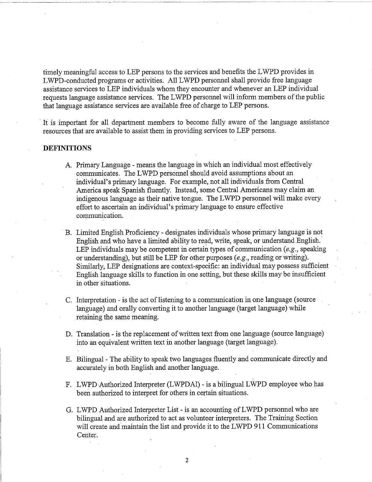timely meaningful access to LEP persons to the services and benefits the LWPD provides in LWPD-conducted programs or activities. All LWPD personnel shall provide free language assistance services to LEP individuals whom they encounter and whenever an LEP individual requests language assistance services. The LWPD personnel will inform members of the public that language assistance services are available free of charge to LEP persons.

It is important for all department members to become fully aware of the language assistance resources that are available to assist them in providing services to LEP persons.

#### **DEFINITIONS**

- A. Primary Language means the language in which an individual most effectively communicates. The LWPD personnel should avoid assumptions about an individual's primary language. For example, not all individuals from Central America speak Spanish fluently. Instead, some Central Americans may claim an indigenous language as their native tongue. The LWPD personnel will make every effort to ascertain an individual's primary language to ensure effective communication.
- B. Limited English Proficiency designates individuals whose primary language is not English and who have a limited ability to read, write, speak, or understand English. LEP individuals may be competent in certain types of communication *(e.g., speaking* or understanding), but still be LEP for other purposes *(e.g.,*reading or writing). Similarly, LEP designations are context-specific: an individual may possess sufficient English language skills to function in one setting, but these skills may be insufficient in other situations.
- C. Interpretation is the act of listening to a communication in one language (source language) and orally converting it to another language (target language) while retaining the same meaning.
- D. Translation is the replacement of written text from one language (source language) into an equivalent written text in another language (target language).
- E. Bilingual The ability to speak two languages fluently and communicate directly and accurately in both English and another language.
- F. LWPD Authorized Interpreter (LWPDAI) is a bilingual LWPD employee who has been authorized to interpret for others in certain situations.
- G. LWPD Authorized Interpreter List is an accounting of LWPD personnel who are bilingual and are authorized to act as volunteer interpreters. The Training Section will create and maintain the list and provide it to the LWPD 911 Communications Center.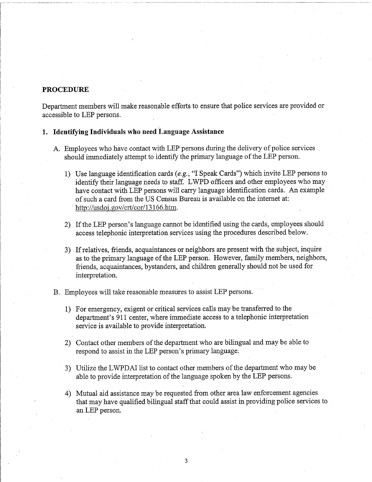# **PROCEDURE**

Department members will make reasonable efforts to ensure that police services are provided or accessible to LEP persons.

# **1. Identifying Individuals who need Language Assistance**

- **A.** Employees who have contact with LEP persons during the delivery of police services should immediately attempt to identify the primary language of the LEP person.
	- 1) Use language identification cards *(e.g.,*"I Speak Cards") whch invite LEP persons to identify their language needs to staff. LWPD officers and other employees who may have contact with LEP persons will carry language identification cards. An example of such a card from the US Census Bureau is available on the internet at: http://usdoi .gov/crt/cor/l3 166.htm.
	- 2) If the LEP person's language cannot be identified using the cards, employees should access telephonic interpretation services using the procedures described below.
	- 3) If relatives, friends, acquaintances or neighbors are present with the subject, inquire as to the primary language of the LEP person. However, family members, neighbors, fiends, acquaintances, bystanders, and children generally should not be used for interpretation.
- B. Employees will take reasonable measures to assist LEP persons.
	- 1) For emergency, exigent or critical services calls may be transferred to the department's 911 center, where immediate access to a telephonic interpretation service is available to provide interpretation.
	- 2) Contact other members of the department who are bilingual and may be able to respond to assist in the LEP person's primary language.
	- 3) Utilize the LWPDAI list to contact other members of the department who may be able to provide interpretation of the language spoken by the LEP persons.
	- 4) Mutual aid assistance may be requested from other area law enforcement agencies that may have qualified bilingual staff that could assist in providing police services to an LEP person.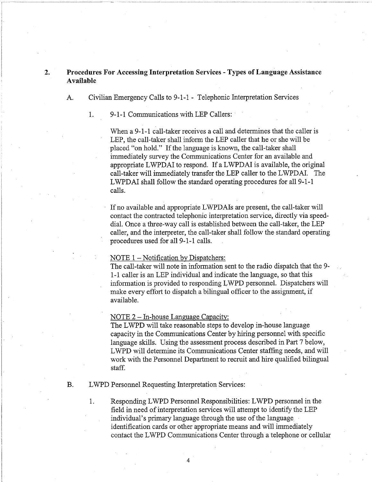# <sup>1</sup> **2. Procedures For Accessing Interpretation Services** - **Types of Language Assistance Available**

A. Civilian Emergency Calls to 9-1-1 - Telephonic Interpretation Services

1. 9-1-1 Communications with LEP Callers:

i

į.

When a 9-1-1 call-taker receives a call and determines that the caller is LEP, the call-taker shall inform the LEP caller that he or she will be placed "on hold." If the language is known, the call-taker shall immediately survey the Communications Center for an available and appropriate LWPDAI to respond. If a LWPDAI is available, the original call-taker will immediately transfer the LEP caller to the LWPDAI. The LWPDAI shall follow the standard operating procedures for all 9-1-1 calls.

If no available and appropriate LWPDAIs are present, the call-taker will contact the contracted telephonic interpretation service, directly via speeddial. Once a three-way call is established between the call-taker, the LEP caller, and the interpreter, the call-taker shall follow the standard operating procedures used for all 9-1-1 calls.

#### NOTE 1 – Notification by Dispatchers:

The call-taker will note in information sent to the radio dispatch that the 9- 1-1 caller is an LEP individual and indicate the language, so that this information is provided to responding LWPD personnel. Dispatchers will make every effort to dispatch a bilingual officer to the assignment, if available.

NOTE  $2 - In$ -house Language Capacity:

The LWPD will take reasonable steps to develop in-house language capacity in the Communications Center by hiring personnel with specific language skills. Using the assessment process described in Part 7 below, LWPD will determine its Communications Center staffing needs, and will work with the Personnel Department to recruit and hire qualified bilingual staff.

B. LWPD Personnel Requesting Interpretation Services:

1. Responding LWPD Personnel Responsibilities: LWPD personnel in the field in need of interpretation services will attempt to identify the LEP individual's primary language through the use of the language identification cards or other appropriate means and will immediately contact the LWPD Communications Center through a telephone or cellular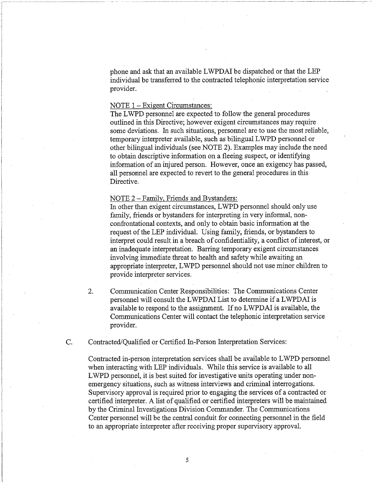phone and ask that an available LWPDAI be dispatched or that the LEP individual be transferred to the contracted telephonic interpretation service provider.

# NOTE 1 – Exigent Circumstances:

The LWPD personnel are expected to follow the general procedures outlined in this Directive; however exigent circumstances may require some deviations. In such situations, personnel are to use the most reliable, temporary interpreter available, such as bilingual LWPD personnel or other bilingual individuals (see NOTE 2). Examples may include the need to obtain descriptive information on a fleeing suspect, or identifying information of an injured person. However, once an exigency has passed, all personnel are expected to revert to the general procedures in this Directive.

NOTE 2 - Family, Friends and Bystanders:

In other than exigent circumstances, LWPD personnel should only use family, friends or bystanders for interpreting in very informal, nonconfrontational contexts, and only to obtain basic information at the request of the LEP individual. Using family, friends, or bystanders to interpret could result in a breach of confidentiality, a conflict of interest, or an inadequate interpretation. Barring temporary exigent circumstances involving immediate threat to health and safety while awaiting an appropriate interpreter, LWPD personnel should not use minor children to provide interpreter services.

2. Communication Center Responsibilities: The Communications Center personnel will consult the LWPDAI List to determine if a LWPDAI is available to respond to the assignment. If no LWPDAI is available, the Communications Center will contact the telephonic interpretation service provider.

C. Contracted/Qualified or Certified In-Person Interpretation Services:

Contracted in-person interpretation services shall be available to LWPD personnel when interacting with LEP individuals. While this service is available to all LWPD personnel, it is best suited for investigative units operating under nonemergency situations, such as witness interviews and criminal interrogations. Supervisory approval is required prior to engaging the services of a contracted or certified interpreter. A list of qualified or certified interpreters will be maintained by the Criminal Investigations Division Commander. The Communications Center personnel will be the central conduit for connecting personnel in the field to an appropriate interpreter after receiving proper supervisory approval.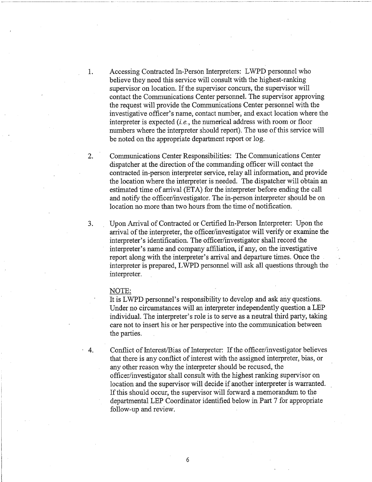1. Accessing Contracted In-Person Interpreters: LWPD personnel who believe they need this service will consult with the highest-ranking supervisor on location. If the supervisor concurs, the supervisor will contact the Communications Center personnel. The supervisor approving the request will provide the Communications Center personnel with the investigative officer's name, contact number, and exact location where the interpreter is expected (i.*e.,*the numerical address with room or floor numbers where the interpreter should report). The use of this service will be noted on the appropriate department report or log.

2. Communications Center Responsibilities: The Communications Center dispatcher at the direction of the commanding officer will contact the contracted in-person interpreter service, relay all information, and provide the location where the interpreter is needed. The dispatcher will obtain an estimated time of arrival (ETA) for the interpreter before ending the call and notify the officer/investigator. The in-person interpreter should be on location no more than two hours from the time of notification.

**3.**  Upon Arrival of Contracted or Certified In-Person Interpreter: Upon the arrival of the interpreter, the officer/investigator will verify or examine the interpreter's identification. The officer/investigator shall record the interpreter's name and company affiliation, if any, on the investigative report along with the interpreter's arrival and departure times. Once the interpreter is prepared, LWPD personnel will ask all questions through the interpreter.

#### NOTE:

It is LWPD personnel's responsibility to develop and ask any questions. Under no circumstances will an interpreter independently question a LEP individual. The interpreter's role is to serve as a neutral third party, taking care not to insert his or her perspective into the communication between the parties.

4. Conflict of Interest/Bias of Interpreter: If the officer/investigator believes that there is any conflict of interest with the assigned interpreter, bias, or any other reason why the interpreter should be recused, the officer/investigator shall consult with the highest ranking supervisor on location and the supervisor will decide if another interpreter is warranted. If this should occur, the supervisor will forward a memorandum to the departmental LEP Coordinator identified below in Part 7 for appropriate follow-up and review.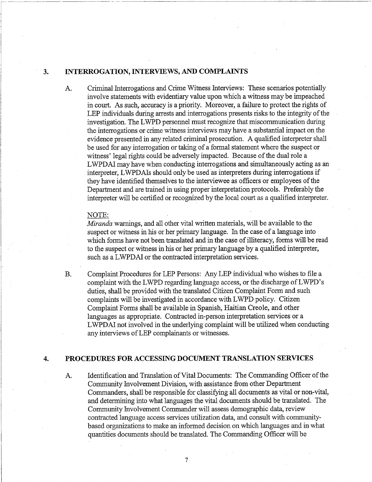# **3. INTERROGATION, INTERVIEWS, AND COMPLAINTS**

A. Criminal Interrogations and Crime Witness Interviews: These scenarios potentially involve statements with evidentiary value upon which a witness may be impeached in court. As such, accuracy is a priority. Moreover, a failure to protect the rights of LEP individuals during arrests and interrogations presents risks to the integrity of the investigation. The LWPD personnel must recognize that miscommunication during the interrogations or crime witness interviews may have a substantial impact on the evidence presented in any related criminal prosecution. A qualified interpreter shall be used for any interrogation or taking of a formal statement where the suspect or witness' legal rights could be adversely impacted. Because of the dual role a LWPDAI may have when conducting interrogations and simultaneously acting as an interpreter, LWPDAIs should only be used as interpreters during interrogations if they have identified themselves to the interviewee as officers or employees of the Department and are trained in using proper interpretation protocols. Preferably the interpreter will be certified or recognized by the local court as a qualified interpreter.

#### NOTE:

*Mivanda* warnings, and all other vital written materials, will be available to the suspect or witness in his or her primary language. In the case of a language into which forms have not been translated and in the case of illiteracy, forms will be read to the suspect or witness in his or her primary language by a qualified interpreter, such as a LWPDAI or the contracted interpretation services.

B. Complaint Procedures for LEP Persons: Any LEP individual who wishes to file a complaint with the LWPD regarding language access, or the discharge of LWPD's duties, shall be provided with the translated Citizen Complaint Form and such complaints will be investigated in accordance with LWPD policy. Citizen Complaint Forms shall be available in Spanish, Haitian Creole, and other languages as appropriate. Contracted in-person interpretation services or a LWPDAI not involved in the underlying complaint will be utilized when conducting any interviews of LEP complainants or witnesses.

# **4. PROCEDURES FOR ACCESSING DOCUMENT TRANSLATION SERVICES**

A. Identification and Translation of Vital Documents: The Commanding Officer of the Community Involvement Division, with assistance fiom other Department Commanders, shall be responsible for classifying all documents as vital or non-vital, and determining into what languages the vital documents should be translated. The Community Involvement Commander will assess demographc data, review contracted language access services utilization data, and consult with communitybased organizations to make an informed decision on which languages and in what quantities documents should be translated. The Commanding Officer will be

 $\overline{7}$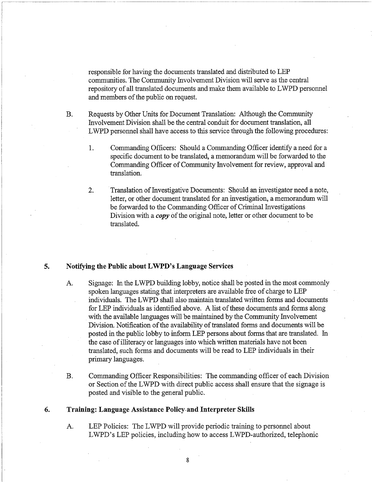responsible for having the documents translated and distributed to LEP communities. The Community Involvement Division will serve as the central repository of all translated documents and make them available to LWPD personnel and nembers of the public on request.

- B. Requests by Other Units for Document Translation: Although the Community Involvement Division shall be the central conduit for document translation, all LWPD personnel shall have access to ths service through the following procedures:
	- 1. Commanding Officers: Should a Commanding Officer identify a need for a specific document to be translated, a memorandum will be forwarded to the Commanding Officer of Community Involvement for review, approval and translation.
	- 2. Translation of Investigative Documents: Should an investigator need a note, letter, or other document translated for an investigation, a memorandum will be forwarded to the Commanding Officer of Criminal Investigations Division with a *copy* of the original note, letter or other document to be translated.

#### **5. Notifying the Public about LWPD's Language Services**

- A. Signage: In the LWPD building lobby, notice shall be posted in the most commonly spoken languages stating that interpreters are available free of charge to LEP individuals. The LWPD shall also maintain translated written forms and documents for LEP individuals as identified above. A list of these documents and forms along with the available languages will be maintained by the Community Involvement Division. Notification of the availability of translated forms and documents will be posted in the public lobby to inform LEP persons about forms that are translated. In the case of illiteracy or languages into which written materials have not been translated, such forms and documents will be read to LEP individuals in their primary languages.
- B. Commanding Officer Responsibilities: The commanding officer of each Division or Section of the LWPD with direct public access shall ensure that the signage is posted and visible to the general public.

# **6. Training: Language Assistance Policy.and Interpreter Skills**

A. LEP Policies: The LWPD will provide periodic training to personnel about LWPD's LEP policies, including how to access LWPD-authorized, telephonic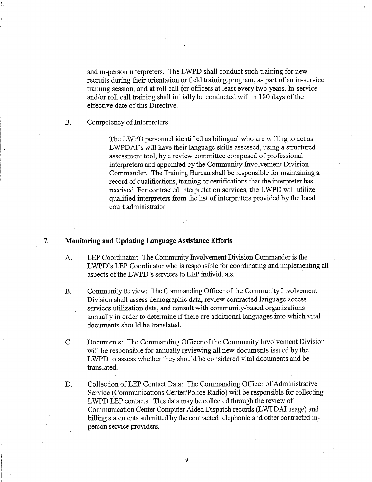and in-person interpreters. The LWPD shall conduct such training for new recruits during their orientation or field training program, as part of an in-service training session, and at roll call for officers at least every two years. In-service and/or roll call training shall initially be conducted within 180 days of the effective date of this Directive.

B. Competency of Interpreters:

The LWPD personnel identified as bilingual who are willing to act as LWPDAI's will have their language skills assessed, using a structured assessment tool, by a review committee composed of professional interpreters and appointed by the Community Involvement Division Commander. The Training Bureau shall be responsible for maintaining a record of qualifications, training or certifications that the interpreter has received. For contracted interpretation services, the LWPD will utilize qualified interpreters from the list of interpreters provided by the local court administrator

#### 7. **Monitoring and Updating Language Assistance Efforts**

- A. LEP Coordinator: The Community Involvement Division Commander is the LWPD's LEP Coordinator who is responsible for coordinating and implementing all aspects of the LWPD's services to LEP individuals.
- B. Community Review: The Commanding Officer of the Community Involvement Division shall assess demographic data, review contracted language access services utilization data, and consult with community-based organizations annually in order to determine if there are additional languages into which vital documents should be translated.
- C. Documents: The Commanding Officer of the Community Involvement Division will be responsible for annually reviewing all new documents issued by the LWPD to assess whether they should be considered vital documents and be translated.
- D. Collection of LEP Contact Data: The Commanding Officer of Administrative Service (Communications Center/Police Radio) will be responsible for collecting LWPD LEP contacts. This data may be collected through the review of Communication Center Computer Aided Dispatch records (LWPDAI usage) and billing statements submitted by the contracted telephonic and other contracted inperson service providers.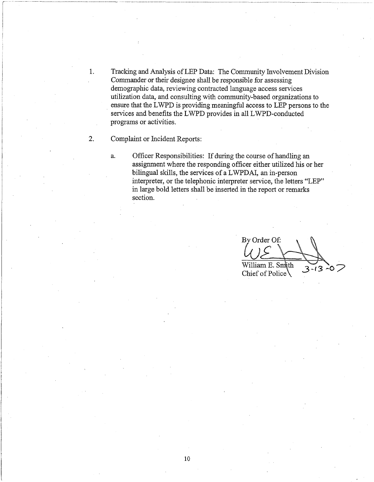1. Tracking and Analysis of LEP Data: The Community Involvement Division Commander or their designee shall be responsible for assessing demographic data, reviewing contracted language access services utilization data, and consulting with community-based organizations to ensure that the LWPD is providing meaningful access to LEP persons to the services and benefits the LWPD provides in all LWPD-conducted programs or activities.

2. Complaint or Incident Reports:

a. Officer Responsibilities: If during the course of handling an assignment where the responding officer either utilized his or her bilingual skills, the services of a LWPDAI, an in-person interpreter, or the telephonic interpreter service, the letters "LEP" in large bold letters shall be inserted in the report or remarks section.

By Order Of: William E. Smith  $3 - 13 - 07$ Chief of Police